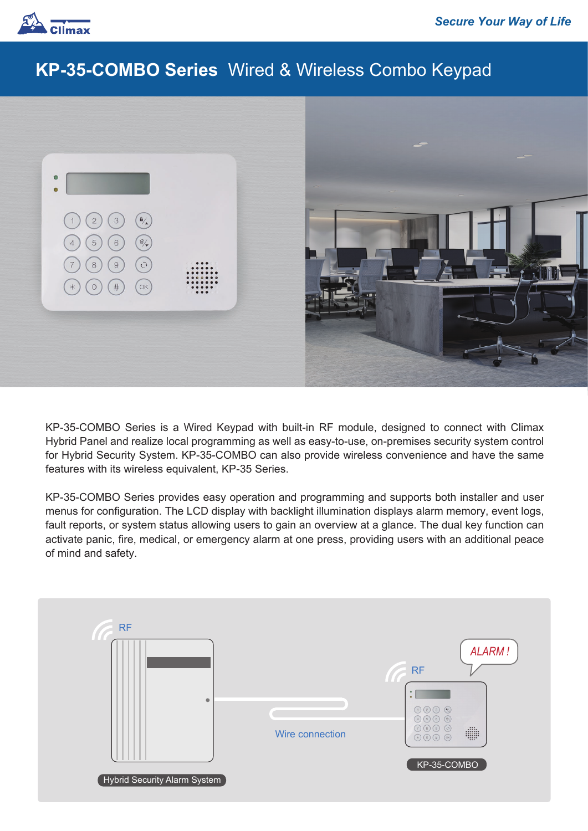

## **KP-35-COMBO Series** Wired & Wireless Combo Keypad



KP-35-COMBO Series is a Wired Keypad with built-in RF module, designed to connect with Climax Hybrid Panel and realize local programming as well as easy-to-use, on-premises security system control for Hybrid Security System. KP-35-COMBO can also provide wireless convenience and have the same features with its wireless equivalent, KP-35 Series.

KP-35-COMBO Series provides easy operation and programming and supports both installer and user menus for configuration. The LCD display with backlight illumination displays alarm memory, event logs, fault reports, or system status allowing users to gain an overview at a glance. The dual key function can activate panic, fire, medical, or emergency alarm at one press, providing users with an additional peace of mind and safety.